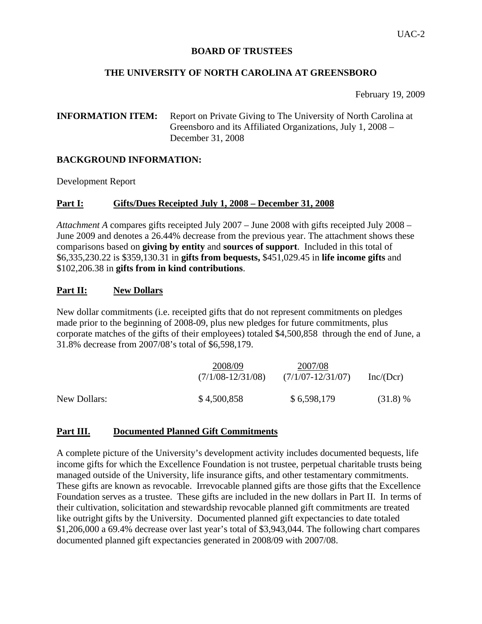## **BOARD OF TRUSTEES**

## **THE UNIVERSITY OF NORTH CAROLINA AT GREENSBORO**

February 19, 2009

# **INFORMATION ITEM:** Report on Private Giving to The University of North Carolina at Greensboro and its Affiliated Organizations, July 1, 2008 – December 31, 2008

## **BACKGROUND INFORMATION:**

Development Report

## **Part I: Gifts/Dues Receipted July 1, 2008 – December 31, 2008**

*Attachment A* compares gifts receipted July 2007 – June 2008 with gifts receipted July 2008 – June 2009 and denotes a 26.44% decrease from the previous year. The attachment shows these comparisons based on **giving by entity** and **sources of support**. Included in this total of \$6,335,230.22 is \$359,130.31 in **gifts from bequests,** \$451,029.45 in **life income gifts** and \$102,206.38 in **gifts from in kind contributions**.

## **Part II: New Dollars**

New dollar commitments (i.e. receipted gifts that do not represent commitments on pledges made prior to the beginning of 2008-09, plus new pledges for future commitments, plus corporate matches of the gifts of their employees) totaled \$4,500,858 through the end of June, a 31.8% decrease from 2007/08's total of \$6,598,179.

|              | 2008/09               | 2007/08               |            |
|--------------|-----------------------|-----------------------|------------|
|              | $(7/1/08 - 12/31/08)$ | $(7/1/07 - 12/31/07)$ | Inc/(Dcr)  |
| New Dollars: | \$4,500,858           | \$6,598,179           | $(31.8)$ % |

#### **Part III. Documented Planned Gift Commitments**

A complete picture of the University's development activity includes documented bequests, life income gifts for which the Excellence Foundation is not trustee, perpetual charitable trusts being managed outside of the University, life insurance gifts, and other testamentary commitments. These gifts are known as revocable. Irrevocable planned gifts are those gifts that the Excellence Foundation serves as a trustee. These gifts are included in the new dollars in Part II. In terms of their cultivation, solicitation and stewardship revocable planned gift commitments are treated like outright gifts by the University. Documented planned gift expectancies to date totaled \$1,206,000 a 69.4% decrease over last year's total of \$3,943,044. The following chart compares documented planned gift expectancies generated in 2008/09 with 2007/08.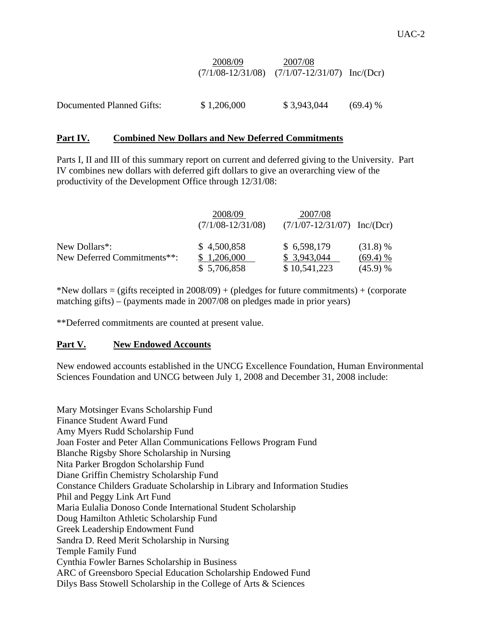| 2008/09                                           | 2007/08 |  |
|---------------------------------------------------|---------|--|
| $(7/1/08-12/31/08)$ $(7/1/07-12/31/07)$ Inc/(Dcr) |         |  |

| Documented Planned Gifts: | \$1,206,000 | \$3,943,044 | (69.4) % |
|---------------------------|-------------|-------------|----------|
|---------------------------|-------------|-------------|----------|

#### **Part IV. Combined New Dollars and New Deferred Commitments**

Parts I, II and III of this summary report on current and deferred giving to the University. Part IV combines new dollars with deferred gift dollars to give an overarching view of the productivity of the Development Office through 12/31/08:

|                             | 2008/09               | 2007/08                         |            |
|-----------------------------|-----------------------|---------------------------------|------------|
|                             | $(7/1/08 - 12/31/08)$ | $(7/1/07 - 12/31/07)$ Inc/(Dcr) |            |
| New Dollars <sup>*</sup> :  | \$4,500,858           | \$6,598,179                     | (31.8) %   |
| New Deferred Commitments**: | \$1,206,000           | \$3,943,044                     | $(69.4)$ % |
|                             | \$5,706,858           | \$10,541,223                    | (45.9) %   |

\*New dollars = (gifts receipted in  $2008/09$ ) + (pledges for future commitments) + (corporate matching gifts) – (payments made in 2007/08 on pledges made in prior years)

\*\*Deferred commitments are counted at present value.

## **Part V. New Endowed Accounts**

New endowed accounts established in the UNCG Excellence Foundation, Human Environmental Sciences Foundation and UNCG between July 1, 2008 and December 31, 2008 include:

Mary Motsinger Evans Scholarship Fund Finance Student Award Fund Amy Myers Rudd Scholarship Fund Joan Foster and Peter Allan Communications Fellows Program Fund Blanche Rigsby Shore Scholarship in Nursing Nita Parker Brogdon Scholarship Fund Diane Griffin Chemistry Scholarship Fund Constance Childers Graduate Scholarship in Library and Information Studies Phil and Peggy Link Art Fund Maria Eulalia Donoso Conde International Student Scholarship Doug Hamilton Athletic Scholarship Fund Greek Leadership Endowment Fund Sandra D. Reed Merit Scholarship in Nursing Temple Family Fund Cynthia Fowler Barnes Scholarship in Business ARC of Greensboro Special Education Scholarship Endowed Fund Dilys Bass Stowell Scholarship in the College of Arts & Sciences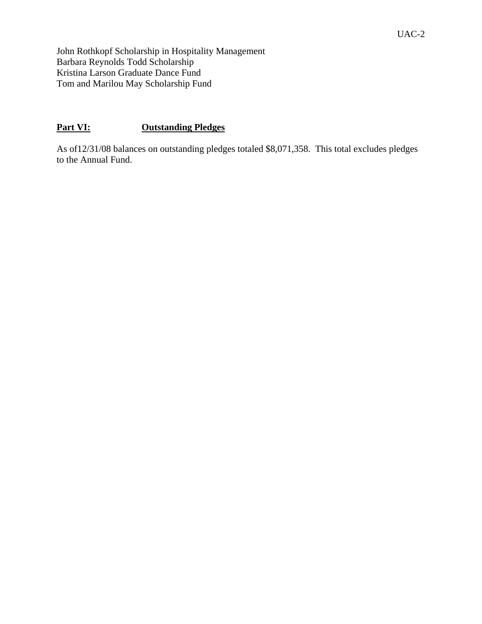John Rothkopf Scholarship in Hospitality Management Barbara Reynolds Todd Scholarship Kristina Larson Graduate Dance Fund Tom and Marilou May Scholarship Fund

# **Part VI: Outstanding Pledges**

As of12/31/08 balances on outstanding pledges totaled \$8,071,358. This total excludes pledges to the Annual Fund.